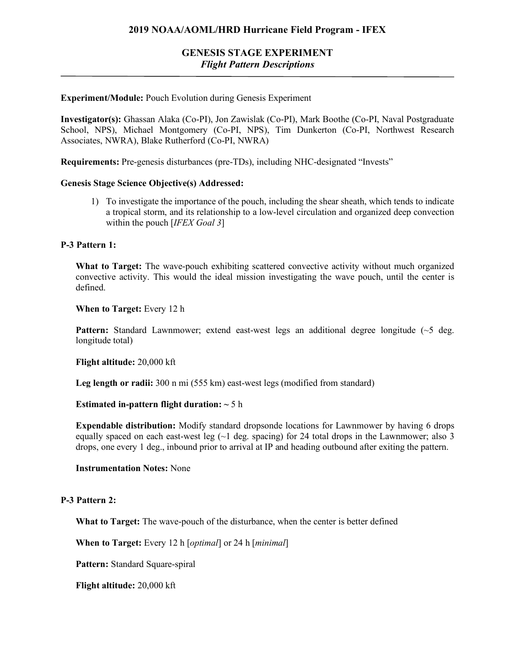## **2019 NOAA/AOML/HRD Hurricane Field Program - IFEX**

# **GENESIS STAGE EXPERIMENT** *Flight Pattern Descriptions*

## **Experiment/Module:** Pouch Evolution during Genesis Experiment

**Investigator(s):** Ghassan Alaka (Co-PI), Jon Zawislak (Co-PI), Mark Boothe (Co-PI, Naval Postgraduate School, NPS), Michael Montgomery (Co-PI, NPS), Tim Dunkerton (Co-PI, Northwest Research Associates, NWRA), Blake Rutherford (Co-PI, NWRA)

**Requirements:** Pre-genesis disturbances (pre-TDs), including NHC-designated "Invests"

## **Genesis Stage Science Objective(s) Addressed:**

1) To investigate the importance of the pouch, including the shear sheath, which tends to indicate a tropical storm, and its relationship to a low-level circulation and organized deep convection within the pouch [*IFEX Goal 3*]

## **P-3 Pattern 1:**

**What to Target:** The wave-pouch exhibiting scattered convective activity without much organized convective activity. This would the ideal mission investigating the wave pouch, until the center is defined.

**When to Target:** Every 12 h

**Pattern:** Standard Lawnmower; extend east-west legs an additional degree longitude (~5 deg. longitude total)

**Flight altitude:** 20,000 kft

**Leg length or radii:** 300 n mi (555 km) east-west legs (modified from standard)

### **Estimated in-pattern flight duration: ~** 5 h

**Expendable distribution:** Modify standard dropsonde locations for Lawnmower by having 6 drops equally spaced on each east-west leg  $(\sim 1$  deg. spacing) for 24 total drops in the Lawnmower; also 3 drops, one every 1 deg., inbound prior to arrival at IP and heading outbound after exiting the pattern.

#### **Instrumentation Notes:** None

## **P-3 Pattern 2:**

**What to Target:** The wave-pouch of the disturbance, when the center is better defined

**When to Target:** Every 12 h [*optimal*] or 24 h [*minimal*]

**Pattern:** Standard Square-spiral

**Flight altitude:** 20,000 kft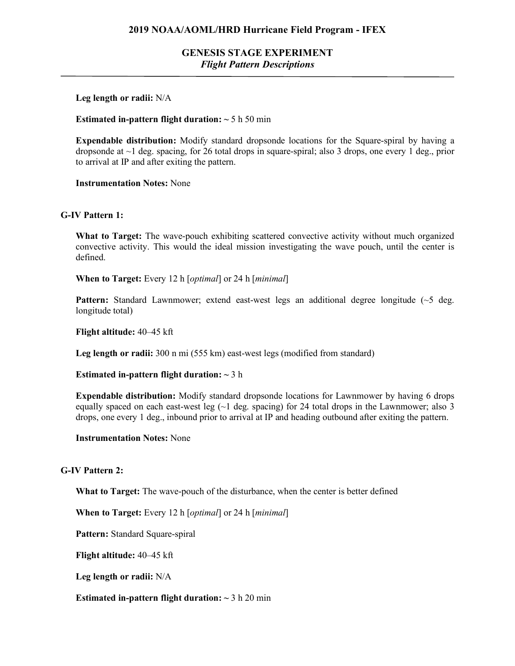# **GENESIS STAGE EXPERIMENT** *Flight Pattern Descriptions*

## **Leg length or radii:** N/A

## **Estimated in-pattern flight duration:**  $\sim$  5 h 50 min

**Expendable distribution:** Modify standard dropsonde locations for the Square-spiral by having a dropsonde at  $\sim$ 1 deg. spacing, for 26 total drops in square-spiral; also 3 drops, one every 1 deg., prior to arrival at IP and after exiting the pattern.

**Instrumentation Notes:** None

## **G-IV Pattern 1:**

**What to Target:** The wave-pouch exhibiting scattered convective activity without much organized convective activity. This would the ideal mission investigating the wave pouch, until the center is defined.

**When to Target:** Every 12 h [*optimal*] or 24 h [*minimal*]

**Pattern:** Standard Lawnmower; extend east-west legs an additional degree longitude (~5 deg. longitude total)

**Flight altitude:** 40–45 kft

**Leg length or radii:** 300 n mi (555 km) east-west legs (modified from standard)

**Estimated in-pattern flight duration: ~** 3 h

**Expendable distribution:** Modify standard dropsonde locations for Lawnmower by having 6 drops equally spaced on each east-west leg  $(\sim 1$  deg. spacing) for 24 total drops in the Lawnmower; also 3 drops, one every 1 deg., inbound prior to arrival at IP and heading outbound after exiting the pattern.

**Instrumentation Notes:** None

#### **G-IV Pattern 2:**

**What to Target:** The wave-pouch of the disturbance, when the center is better defined

**When to Target:** Every 12 h [*optimal*] or 24 h [*minimal*]

**Pattern:** Standard Square-spiral

**Flight altitude:** 40–45 kft

**Leg length or radii:** N/A

**Estimated in-pattern flight duration:**  $\sim$  3 h 20 min